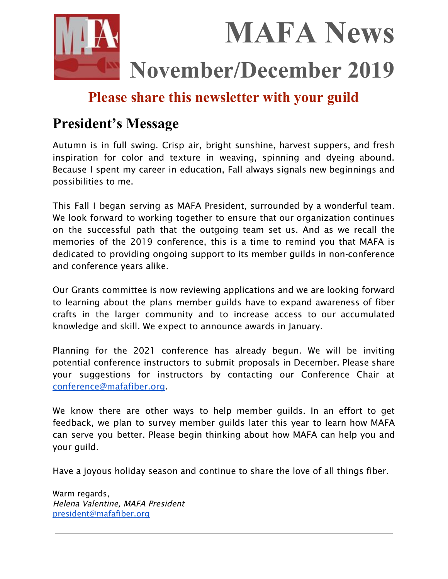

## **Please share this newsletter with your guild**

# **President's Message**

Autumn is in full swing. Crisp air, bright sunshine, harvest suppers, and fresh inspiration for color and texture in weaving, spinning and dyeing abound. Because I spent my career in education, Fall always signals new beginnings and possibilities to me.

This Fall I began serving as MAFA President, surrounded by a wonderful team. We look forward to working together to ensure that our organization continues on the successful path that the outgoing team set us. And as we recall the memories of the 2019 conference, this is a time to remind you that MAFA is dedicated to providing ongoing support to its member guilds in non-conference and conference years alike.

Our Grants committee is now reviewing applications and we are looking forward to learning about the plans member guilds have to expand awareness of fiber crafts in the larger community and to increase access to our accumulated knowledge and skill. We expect to announce awards in January.

Planning for the 2021 conference has already begun. We will be inviting potential conference instructors to submit proposals in December. Please share your suggestions for instructors by contacting our Conference Chair at [conference@mafafiber.org.](mailto:conference@mafafiber.org)

We know there are other ways to help member guilds. In an effort to get feedback, we plan to survey member guilds later this year to learn how MAFA can serve you better. Please begin thinking about how MAFA can help you and your guild.

Have a joyous holiday season and continue to share the love of all things fiber.

Warm regards, Helena Valentine, MAFA President [president@mafafiber.org](mailto:president@mafafiber.org)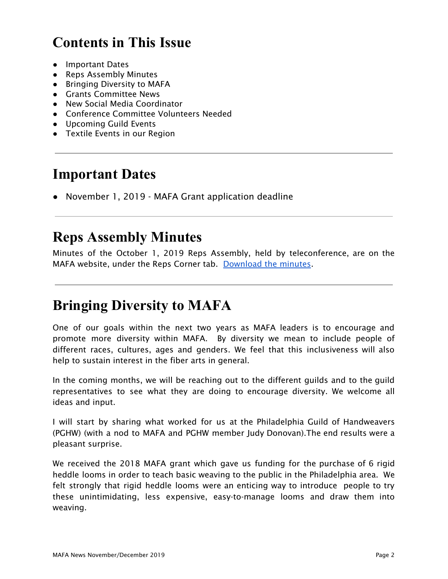# **Contents in This Issue**

- Important Dates
- Reps Assembly Minutes
- Bringing Diversity to MAFA
- Grants Committee News
- New Social Media Coordinator
- Conference Committee Volunteers Needed
- Upcoming Guild Events
- Textile Events in our Region

### **Important Dates**

● November 1, 2019 - MAFA Grant application deadline

### **Reps Assembly Minutes**

Minutes of the October 1, 2019 Reps Assembly, held by teleconference, are on the MAFA website, under the Reps Corner tab. [Download](https://mafafiber.org/wp-content/uploads/Reps-Meetings/MAFA-Representatives-Assembly-October-1-2019.pdf) the minutes.

### **Bringing Diversity to MAFA**

One of our goals within the next two years as MAFA leaders is to encourage and promote more diversity within MAFA. By diversity we mean to include people of different races, cultures, ages and genders. We feel that this inclusiveness will also help to sustain interest in the fiber arts in general.

In the coming months, we will be reaching out to the different guilds and to the guild representatives to see what they are doing to encourage diversity. We welcome all ideas and input.

I will start by sharing what worked for us at the Philadelphia Guild of Handweavers (PGHW) (with a nod to MAFA and PGHW member Judy Donovan).The end results were a pleasant surprise.

We received the 2018 MAFA grant which gave us funding for the purchase of 6 rigid heddle looms in order to teach basic weaving to the public in the Philadelphia area. We felt strongly that rigid heddle looms were an enticing way to introduce people to try these unintimidating, less expensive, easy-to-manage looms and draw them into weaving.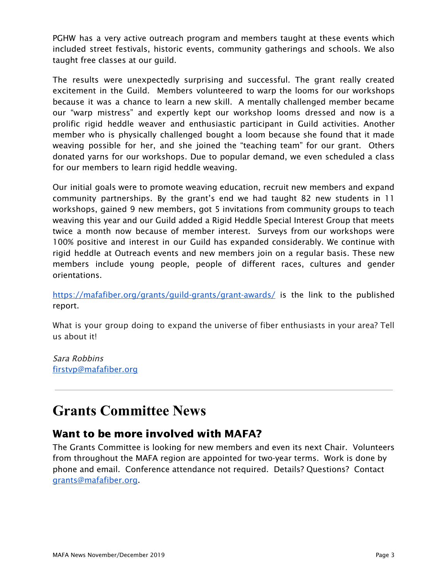PGHW has a very active outreach program and members taught at these events which included street festivals, historic events, community gatherings and schools. We also taught free classes at our guild.

The results were unexpectedly surprising and successful. The grant really created excitement in the Guild. Members volunteered to warp the looms for our workshops because it was a chance to learn a new skill. A mentally challenged member became our "warp mistress" and expertly kept our workshop looms dressed and now is a prolific rigid heddle weaver and enthusiastic participant in Guild activities. Another member who is physically challenged bought a loom because she found that it made weaving possible for her, and she joined the "teaching team" for our grant. Others donated yarns for our workshops. Due to popular demand, we even scheduled a class for our members to learn rigid heddle weaving.

Our initial goals were to promote weaving education, recruit new members and expand community partnerships. By the grant's end we had taught 82 new students in 11 workshops, gained 9 new members, got 5 invitations from community groups to teach weaving this year and our Guild added a Rigid Heddle Special Interest Group that meets twice a month now because of member interest. Surveys from our workshops were 100% positive and interest in our Guild has expanded considerably. We continue with rigid heddle at Outreach events and new members join on a regular basis. These new members include young people, people of different races, cultures and gender orientations.

<https://mafafiber.org/grants/guild-grants/grant-awards/> is the link to the published report.

What is your group doing to expand the universe of fiber enthusiasts in your area? Tell us about it!

Sara Robbins [firstvp@mafafiber.org](mailto:firstvp@mafafiber.org)

# **Grants Committee News**

### Want to be more involved with MAFA?

The Grants Committee is looking for new members and even its next Chair. Volunteers from throughout the MAFA region are appointed for two-year terms. Work is done by phone and email. Conference attendance not required. Details? Questions? Contact [grants@mafafiber.org](mailto:grants@mafafiber.org).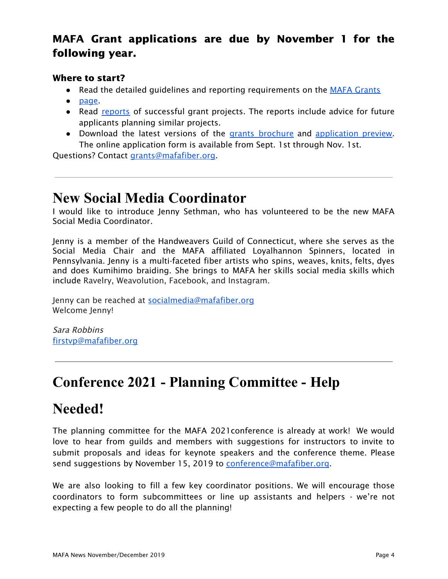### MAFA Grant applications are due by November 1 for the following year.

#### Where to start?

- Read the detailed quidelines and reporting requirements on the MAFA [Grants](https://mafafiber.org/grants/guild-grants/)
- [page.](https://mafafiber.org/grants/guild-grants/)
- Read [reports](https://mafafiber.org/grants/guild-grants/grant-awards/) of successful grant projects. The reports include advice for future applicants planning similar projects.
- Download the latest versions of the grants [brochure](https://mafafiber.org/wp-content/uploads/Grants/Grants-Brochure_0619.pdf) and [application](https://mafafiber.org/wp-content/uploads/2019/08/Forms/MAFA-GRANT-APPLICATION-Preview.pdf) preview. The online application form is available from Sept. 1st through Nov. 1st.

Questions? Contact [grants@mafafiber.org.](mailto:grants@mafafiber.org)

### **New Social Media Coordinator**

I would like to introduce Jenny Sethman, who has volunteered to be the new MAFA Social Media Coordinator.

Jenny is a member of the Handweavers Guild of Connecticut, where she serves as the Social Media Chair and the MAFA affiliated Loyalhannon Spinners, located in Pennsylvania. Jenny is a multi-faceted fiber artists who spins, weaves, knits, felts, dyes and does Kumihimo braiding. She brings to MAFA her skills social media skills which include Ravelry, Weavolution, Facebook, and Instagram.

Jenny can be reached at [socialmedia@mafafiber.org](mailto:socialmedia@mafafiber.org) Welcome Jenny!

Sara Robbins [firstvp@mafafiber.org](mailto:firstvp@mafafiber.org)

# **Conference 2021 - Planning Committee - Help**

## **Needed!**

The planning committee for the MAFA 2021conference is already at work! We would love to hear from guilds and members with suggestions for instructors to invite to submit proposals and ideas for keynote speakers and the conference theme. Please send suggestions by November 15, 2019 to [conference@mafafiber.org](mailto:conference@mafafiber.org).

We are also looking to fill a few key coordinator positions. We will encourage those coordinators to form subcommittees or line up assistants and helpers - we're not expecting a few people to do all the planning!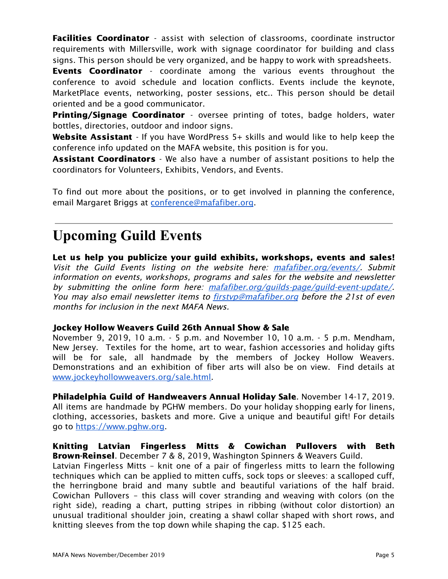Facilities Coordinator - assist with selection of classrooms, coordinate instructor requirements with Millersville, work with signage coordinator for building and class signs. This person should be very organized, and be happy to work with spreadsheets.

**Events Coordinator** - coordinate among the various events throughout the conference to avoid schedule and location conflicts. Events include the keynote, MarketPlace events, networking, poster sessions, etc.. This person should be detail oriented and be a good communicator.

**Printing/Signage Coordinator** - oversee printing of totes, badge holders, water bottles, directories, outdoor and indoor signs.

Website Assistant - If you have WordPress 5+ skills and would like to help keep the conference info updated on the MAFA website, this position is for you.

**Assistant Coordinators** - We also have a number of assistant positions to help the coordinators for Volunteers, Exhibits, Vendors, and Events.

To find out more about the positions, or to get involved in planning the conference, email Margaret Briggs at [conference@mafafiber.org](mailto:conference@mafafiber.org).

# **Upcoming Guild Events**

Let us help you publicize your guild exhibits, workshops, events and sales! Visit the Guild Events listing on the website here: [mafafiber.org/events/](https://mafafiber.org/events/). Submit information on events, workshops, programs and sales for the website and newsletter by submitting the online form here: [mafafiber.org/guilds-page/guild-event-update/](https://mafafiber.org/guilds-page/guild-event-update/). You may also email newsletter items to **firstyp@mafafiber.org** before the 21st of even months for inclusion in the next MAFA News.

#### Jockey Hollow Weavers Guild 26th Annual Show & Sale

November 9, 2019, 10 a.m. - 5 p.m. and November 10, 10 a.m. - 5 p.m. Mendham, New Jersey. Textiles for the home, art to wear, fashion accessories and holiday gifts will be for sale, all handmade by the members of Jockey Hollow Weavers. Demonstrations and an exhibition of fiber arts will also be on view. Find details at [www.jockeyhollowweavers.org/sale.html.](http://www.jockeyhollowweavers.org/sale.html)

Philadelphia Guild of Handweavers Annual Holiday Sale. November 14-17, 2019. All items are handmade by PGHW members. Do your holiday shopping early for linens, clothing, accessories, baskets and more. Give a unique and beautiful gift! For details go to [https://www.pghw.org.](https://www.pghw.org/)

Knitting Latvian Fingerless Mitts & Cowichan Pullovers with Beth Brown-Reinsel. December 7 & 8, 2019, Washington Spinners & Weavers Guild.

Latvian Fingerless Mitts – knit one of a pair of fingerless mitts to learn the following techniques which can be applied to mitten cuffs, sock tops or sleeves: a scalloped cuff, the herringbone braid and many subtle and beautiful variations of the half braid. Cowichan Pullovers – this class will cover stranding and weaving with colors (on the right side), reading a chart, putting stripes in ribbing (without color distortion) an unusual traditional shoulder join, creating a shawl collar shaped with short rows, and knitting sleeves from the top down while shaping the cap. \$125 each.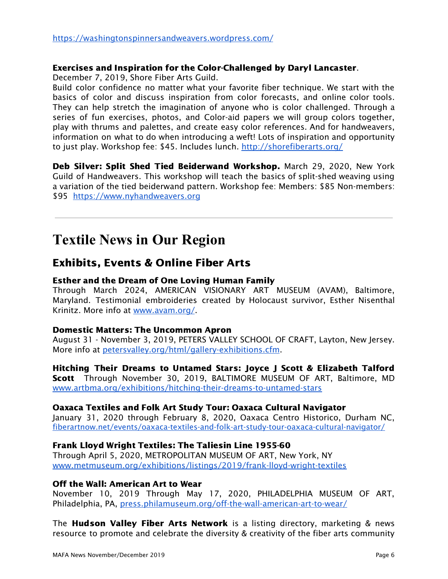#### Exercises and Inspiration for the Color-Challenged by Daryl Lancaster.

December 7, 2019, Shore Fiber Arts Guild.

Build color confidence no matter what your favorite fiber technique. We start with the basics of color and discuss inspiration from color forecasts, and online color tools. They can help stretch the imagination of anyone who is color challenged. Through a series of fun exercises, photos, and Color-aid papers we will group colors together, play with thrums and palettes, and create easy color references. And for handweavers, information on what to do when introducing a weft! Lots of inspiration and opportunity to just play. Workshop fee: \$45. Includes lunch. <http://shorefiberarts.org/>

Deb Silver: Split Shed Tied Beiderwand Workshop. March 29, 2020, New York Guild of Handweavers. This workshop will teach the basics of split-shed weaving using a variation of the tied beiderwand pattern. Workshop fee: Members: \$85 Non-members: \$95 [https://www.nyhandweavers.org](https://www.nyhandweavers.org/)

### **Textile News in Our Region**

### Exhibits, Events & Online Fiber Arts

#### Esther and the Dream of One Loving Human Family

Through March 2024, AMERICAN VISIONARY ART MUSEUM (AVAM), Baltimore, Maryland. Testimonial embroideries created by Holocaust survivor, Esther Nisenthal Krinitz. More info at [www.avam.org/](http://www.avam.org/).

#### Domestic Matters: The Uncommon Apron

August 31 - November 3, 2019, PETERS VALLEY SCHOOL OF CRAFT, Layton, New Jersey. More info at [petersvalley.org/html/gallery-exhibitions.cfm](http://petersvalley.org/html/gallery-exhibitions.cfm).

#### Hitching Their Dreams to Untamed Stars: Joyce J Scott & Elizabeth Talford Scott Through November 30, 2019, BALTIMORE MUSEUM OF ART, Baltimore, MD [www.artbma.org/exhibitions/hitching-their-dreams-to-untamed-stars](http://www.artbma.org/exhibitions/hitching-their-dreams-to-untamed-stars)

#### Oaxaca Textiles and Folk Art Study Tour: Oaxaca Cultural [Navigator](https://fiberartnow.net/events/oaxaca-textiles-and-folk-art-study-tour-oaxaca-cultural-navigator/)

January 31, 2020 through February 8, 2020, Oaxaca Centro Historico, Durham NC, [fiberartnow.net/events/oaxaca-textiles-and-folk-art-study-tour-oaxaca-cultural-navigator/](https://fiberartnow.net/events/oaxaca-textiles-and-folk-art-study-tour-oaxaca-cultural-navigator/)

#### Frank Lloyd Wright Textiles: The Taliesin Line 1955-60

Through April 5, 2020, METROPOLITAN MUSEUM OF ART, New York, NY [www.metmuseum.org/exhibitions/listings/2019/frank-lloyd-wright-textiles](https://www.metmuseum.org/exhibitions/listings/2019/frank-lloyd-wright-textiles)

#### Off the Wall: American Art to Wear

November 10, 2019 Through May 17, 2020, PHILADELPHIA MUSEUM OF ART, Philadelphia, PA, [press.philamuseum.org/off-the-wall-american-art-to-wear/](https://press.philamuseum.org/off-the-wall-american-art-to-wear/)

The **Hudson Valley Fiber Arts Network** is a listing directory, marketing & news resource to promote and celebrate the diversity & creativity of the fiber arts community